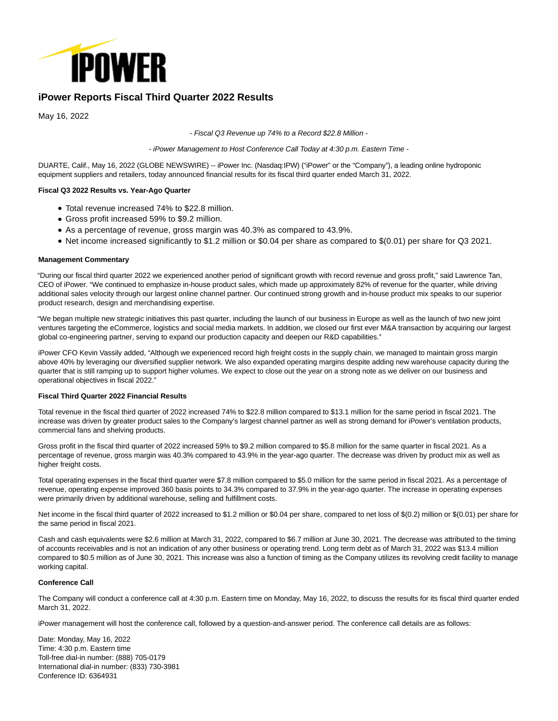

# **iPower Reports Fiscal Third Quarter 2022 Results**

May 16, 2022

- Fiscal Q3 Revenue up 74% to a Record \$22.8 Million -

- iPower Management to Host Conference Call Today at 4:30 p.m. Eastern Time -

DUARTE, Calif., May 16, 2022 (GLOBE NEWSWIRE) -- iPower Inc. (Nasdaq:IPW) ("iPower" or the "Company"), a leading online hydroponic equipment suppliers and retailers, today announced financial results for its fiscal third quarter ended March 31, 2022.

# **Fiscal Q3 2022 Results vs. Year-Ago Quarter**

- Total revenue increased 74% to \$22.8 million.
- Gross profit increased 59% to \$9.2 million.
- As a percentage of revenue, gross margin was 40.3% as compared to 43.9%.
- Net income increased significantly to \$1.2 million or \$0.04 per share as compared to \$(0.01) per share for Q3 2021.

# **Management Commentary**

"During our fiscal third quarter 2022 we experienced another period of significant growth with record revenue and gross profit," said Lawrence Tan, CEO of iPower. "We continued to emphasize in-house product sales, which made up approximately 82% of revenue for the quarter, while driving additional sales velocity through our largest online channel partner. Our continued strong growth and in-house product mix speaks to our superior product research, design and merchandising expertise.

"We began multiple new strategic initiatives this past quarter, including the launch of our business in Europe as well as the launch of two new joint ventures targeting the eCommerce, logistics and social media markets. In addition, we closed our first ever M&A transaction by acquiring our largest global co-engineering partner, serving to expand our production capacity and deepen our R&D capabilities."

iPower CFO Kevin Vassily added, "Although we experienced record high freight costs in the supply chain, we managed to maintain gross margin above 40% by leveraging our diversified supplier network. We also expanded operating margins despite adding new warehouse capacity during the quarter that is still ramping up to support higher volumes. We expect to close out the year on a strong note as we deliver on our business and operational objectives in fiscal 2022."

# **Fiscal Third Quarter 2022 Financial Results**

Total revenue in the fiscal third quarter of 2022 increased 74% to \$22.8 million compared to \$13.1 million for the same period in fiscal 2021. The increase was driven by greater product sales to the Company's largest channel partner as well as strong demand for iPower's ventilation products, commercial fans and shelving products.

Gross profit in the fiscal third quarter of 2022 increased 59% to \$9.2 million compared to \$5.8 million for the same quarter in fiscal 2021. As a percentage of revenue, gross margin was 40.3% compared to 43.9% in the year-ago quarter. The decrease was driven by product mix as well as higher freight costs.

Total operating expenses in the fiscal third quarter were \$7.8 million compared to \$5.0 million for the same period in fiscal 2021. As a percentage of revenue, operating expense improved 360 basis points to 34.3% compared to 37.9% in the year-ago quarter. The increase in operating expenses were primarily driven by additional warehouse, selling and fulfillment costs.

Net income in the fiscal third quarter of 2022 increased to \$1.2 million or \$0.04 per share, compared to net loss of \$(0.2) million or \$(0.01) per share for the same period in fiscal 2021.

Cash and cash equivalents were \$2.6 million at March 31, 2022, compared to \$6.7 million at June 30, 2021. The decrease was attributed to the timing of accounts receivables and is not an indication of any other business or operating trend. Long term debt as of March 31, 2022 was \$13.4 million compared to \$0.5 million as of June 30, 2021. This increase was also a function of timing as the Company utilizes its revolving credit facility to manage working capital.

# **Conference Call**

The Company will conduct a conference call at 4:30 p.m. Eastern time on Monday, May 16, 2022, to discuss the results for its fiscal third quarter ended March 31, 2022.

iPower management will host the conference call, followed by a question-and-answer period. The conference call details are as follows:

Date: Monday, May 16, 2022 Time: 4:30 p.m. Eastern time Toll-free dial-in number: (888) 705-0179 International dial-in number: (833) 730-3981 Conference ID: 6364931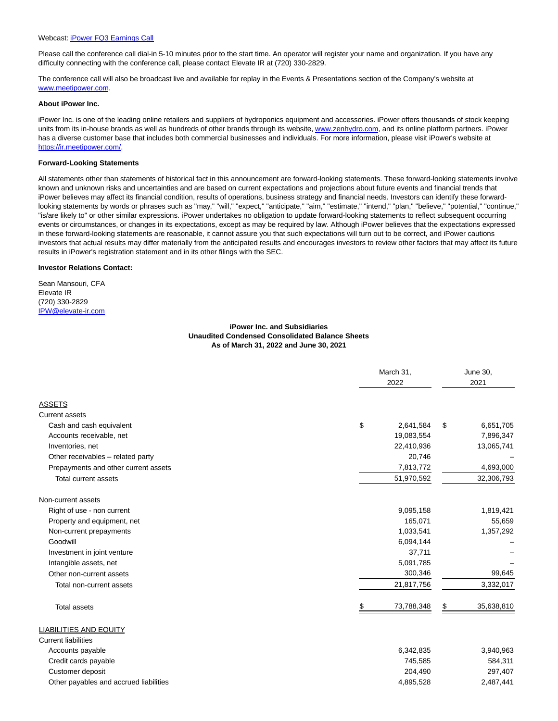Please call the conference call dial-in 5-10 minutes prior to the start time. An operator will register your name and organization. If you have any difficulty connecting with the conference call, please contact Elevate IR at (720) 330-2829.

The conference call will also be broadcast live and available for replay in the Events & Presentations section of the Company's website at [www.meetipower.com.](https://www.globenewswire.com/Tracker?data=gN0Z-zTBjgXzl-9n6CWZto1eOXDkrQixLsOz7dawuX1yR7Q63ANFla3G3CyTFeTD1cqqe4bzpPZTGq_ShA8VOWdfhR8fA1dtnxbgcMV-1RQ=)

# **About iPower Inc.**

iPower Inc. is one of the leading online retailers and suppliers of hydroponics equipment and accessories. iPower offers thousands of stock keeping units from its in-house brands as well as hundreds of other brands through its website, [www.zenhydro.com,](https://www.globenewswire.com/Tracker?data=lD89x-IWe9h7Kjf5nNbVy9hTcQFb54Cmiv4Dx_GfVsorKW-nf5NnVPARBXQRUkXK6U5dWldAa8a5nKl2hwRNZg==) and its online platform partners. iPower has a diverse customer base that includes both commercial businesses and individuals. For more information, please visit iPower's website at [https://ir.meetipower.com/.](https://www.globenewswire.com/Tracker?data=AVdvNG3CTtUM5uNPhTFZxLoz3DC2EA1RR4cVjLOOBphzSsDyFB_Ycr6uuUXNb7yUe2z4L8iztK5DpQPHHoBJJ5ZtjuDn9idAKshwmNqi0yI=)

#### **Forward-Looking Statements**

All statements other than statements of historical fact in this announcement are forward-looking statements. These forward-looking statements involve known and unknown risks and uncertainties and are based on current expectations and projections about future events and financial trends that iPower believes may affect its financial condition, results of operations, business strategy and financial needs. Investors can identify these forwardlooking statements by words or phrases such as "may," "will," "expect," "anticipate," "aim," "estimate," "intend," "plan," "believe," "potential," "continue," "is/are likely to" or other similar expressions. iPower undertakes no obligation to update forward-looking statements to reflect subsequent occurring events or circumstances, or changes in its expectations, except as may be required by law. Although iPower believes that the expectations expressed in these forward-looking statements are reasonable, it cannot assure you that such expectations will turn out to be correct, and iPower cautions investors that actual results may differ materially from the anticipated results and encourages investors to review other factors that may affect its future results in iPower's registration statement and in its other filings with the SEC.

#### **Investor Relations Contact:**

Sean Mansouri, CFA Elevate IR (720) 330-2829 [IPW@elevate-ir.com](https://www.globenewswire.com/Tracker?data=ffdM7bmOL6KOgX4TXHliy5C4mWfM9QQBeLV8vrznXEMY7A4QU8BYhZaDdogtEx1rqGlQKSiQJ3k_hODtxl5rHpKU7fQiiH3WXgt6PmTXzRA=)

# **iPower Inc. and Subsidiaries Unaudited Condensed Consolidated Balance Sheets As of March 31, 2022 and June 30, 2021**

|                                        | March 31,<br>2022 | June 30.<br>2021 |  |  |
|----------------------------------------|-------------------|------------------|--|--|
| <b>ASSETS</b>                          |                   |                  |  |  |
| <b>Current assets</b>                  |                   |                  |  |  |
| Cash and cash equivalent               | \$<br>2,641,584   | \$<br>6,651,705  |  |  |
| Accounts receivable, net               | 19,083,554        | 7,896,347        |  |  |
| Inventories, net                       | 22,410,936        | 13,065,741       |  |  |
| Other receivables - related party      | 20,746            |                  |  |  |
| Prepayments and other current assets   | 7,813,772         | 4,693,000        |  |  |
| <b>Total current assets</b>            | 51,970,592        | 32,306,793       |  |  |
| Non-current assets                     |                   |                  |  |  |
| Right of use - non current             | 9,095,158         | 1,819,421        |  |  |
| Property and equipment, net            | 165,071           | 55,659           |  |  |
| Non-current prepayments                | 1,033,541         | 1,357,292        |  |  |
| Goodwill                               | 6,094,144         |                  |  |  |
| Investment in joint venture            | 37,711            |                  |  |  |
| Intangible assets, net                 | 5,091,785         |                  |  |  |
| Other non-current assets               | 300,346           | 99,645           |  |  |
| Total non-current assets               | 21,817,756        | 3,332,017        |  |  |
| <b>Total assets</b>                    | 73,788,348<br>\$  | 35,638,810<br>\$ |  |  |
| <b>LIABILITIES AND EQUITY</b>          |                   |                  |  |  |
| <b>Current liabilities</b>             |                   |                  |  |  |
| Accounts payable                       | 6,342,835         | 3,940,963        |  |  |
| Credit cards payable                   | 745,585           | 584,311          |  |  |
| Customer deposit                       | 204,490           | 297,407          |  |  |
| Other payables and accrued liabilities | 4,895,528         | 2,487,441        |  |  |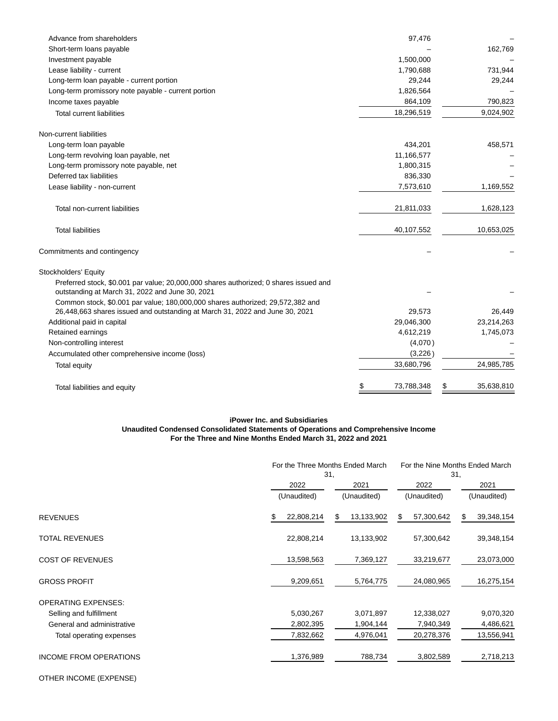| Advance from shareholders                                                                                                         | 97,476     |                  |
|-----------------------------------------------------------------------------------------------------------------------------------|------------|------------------|
| Short-term loans payable                                                                                                          |            | 162,769          |
| Investment payable                                                                                                                | 1,500,000  |                  |
| Lease liability - current                                                                                                         | 1,790,688  | 731,944          |
| Long-term loan payable - current portion                                                                                          | 29,244     | 29,244           |
| Long-term promissory note payable - current portion                                                                               | 1,826,564  |                  |
| Income taxes payable                                                                                                              | 864,109    | 790,823          |
| <b>Total current liabilities</b>                                                                                                  | 18,296,519 | 9,024,902        |
| Non-current liabilities                                                                                                           |            |                  |
| Long-term loan payable                                                                                                            | 434,201    | 458,571          |
| Long-term revolving loan payable, net                                                                                             | 11,166,577 |                  |
| Long-term promissory note payable, net                                                                                            | 1,800,315  |                  |
| Deferred tax liabilities                                                                                                          | 836,330    |                  |
| Lease liability - non-current                                                                                                     | 7,573,610  | 1,169,552        |
| Total non-current liabilities                                                                                                     | 21,811,033 | 1,628,123        |
| <b>Total liabilities</b>                                                                                                          | 40,107,552 | 10,653,025       |
| Commitments and contingency                                                                                                       |            |                  |
| Stockholders' Equity                                                                                                              |            |                  |
| Preferred stock, \$0.001 par value; 20,000,000 shares authorized; 0 shares issued and                                             |            |                  |
| outstanding at March 31, 2022 and June 30, 2021<br>Common stock, \$0.001 par value; 180,000,000 shares authorized; 29,572,382 and |            |                  |
| 26,448,663 shares issued and outstanding at March 31, 2022 and June 30, 2021                                                      | 29,573     | 26,449           |
| Additional paid in capital                                                                                                        | 29,046,300 | 23,214,263       |
| Retained earnings                                                                                                                 | 4,612,219  | 1,745,073        |
| Non-controlling interest                                                                                                          | (4,070)    |                  |
| Accumulated other comprehensive income (loss)                                                                                     | (3,226)    |                  |
| Total equity                                                                                                                      | 33,680,796 | 24,985,785       |
| Total liabilities and equity                                                                                                      | 73,788,348 | \$<br>35,638,810 |
|                                                                                                                                   |            |                  |

# **iPower Inc. and Subsidiaries**

# **Unaudited Condensed Consolidated Statements of Operations and Comprehensive Income For the Three and Nine Months Ended March 31, 2022 and 2021**

|                               |                  | For the Three Months Ended March<br>31, | For the Nine Months Ended March<br>31, |                     |  |  |
|-------------------------------|------------------|-----------------------------------------|----------------------------------------|---------------------|--|--|
|                               | 2022             | 2021                                    | 2022                                   | 2021<br>(Unaudited) |  |  |
|                               | (Unaudited)      | (Unaudited)                             | (Unaudited)                            |                     |  |  |
| <b>REVENUES</b>               | \$<br>22,808,214 | 13,133,902<br>\$                        | 57,300,642<br>\$                       | \$<br>39,348,154    |  |  |
| TOTAL REVENUES                | 22,808,214       | 13,133,902                              | 57,300,642                             | 39,348,154          |  |  |
| <b>COST OF REVENUES</b>       | 13,598,563       | 7,369,127                               | 33,219,677                             | 23,073,000          |  |  |
| GROSS PROFIT                  | 9,209,651        | 5,764,775                               | 24,080,965                             | 16,275,154          |  |  |
| OPERATING EXPENSES:           |                  |                                         |                                        |                     |  |  |
| Selling and fulfillment       | 5,030,267        | 3,071,897                               | 12,338,027                             | 9,070,320           |  |  |
| General and administrative    | 2,802,395        | 1,904,144                               | 7,940,349                              | 4,486,621           |  |  |
| Total operating expenses      | 7,832,662        | 4,976,041                               | 20,278,376                             | 13,556,941          |  |  |
| <b>INCOME FROM OPERATIONS</b> | 1,376,989        | 788,734                                 | 3,802,589                              | 2,718,213           |  |  |

OTHER INCOME (EXPENSE)